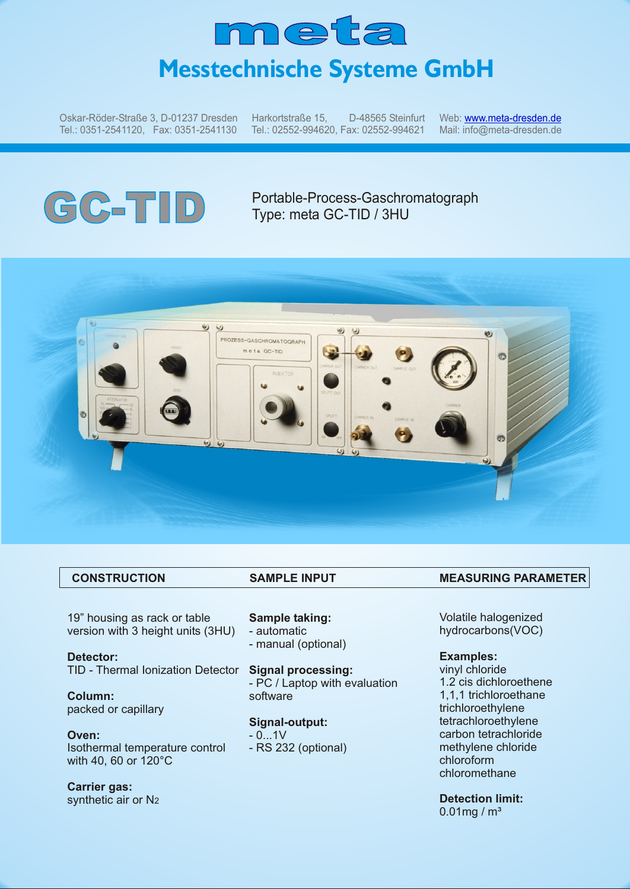

Oskar-Röder-Straße 3, D-01237 Dresden Tel.: 0351-2541120, Fax: 0351-2541130

Harkortstraße 15, D-48565 Steinfurt Tel.: 02552-994620, Fax: 02552-994621

Web: <u>w[ww.meta-dresden.de](http://www.meta-dresden.de)</u> Mail: info@meta-dresden.de

# **GC-TID** Portable-Process-Gaschromatograph<br>Type: meta GC-TID / 3HU Type: meta GC-TID / 3HU



19" housing as rack or table version with 3 height units (3HU)

**Detector:** TID - Thermal Ionization Detector

**Column:** packed or capillary

**Oven:** Isothermal temperature control with 40, 60 or 120°C

**Carrier gas:** synthetic air or N2

**Sample taking:** - automatic - manual (optional)

**Signal processing:** - PC / Laptop with evaluation software

**Signal-output:**

 $- 0.1V$ 

- RS 232 (optional)

### CONSTRUCTION SAMPLE INPUT MEASURING PARAMETER

Volatile halogenized hydrocarbons(VOC)

### **Examples:**

vinyl chloride 1.2 cis dichloroethene 1,1,1 trichloroethane trichloroethylene tetrachloroethylene carbon tetrachloride methylene chloride chloroform chloromethane

**Detection limit:**  $0.01$ mg / m<sup>3</sup>